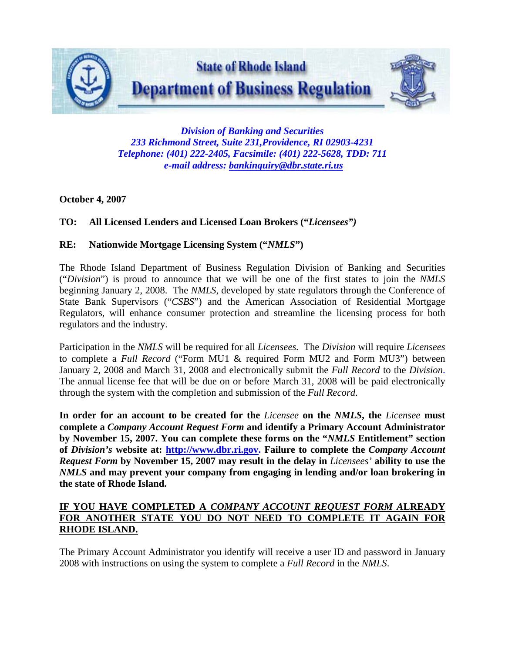

*Division of Banking and Securities 233 Richmond Street, Suite 231,Providence, RI 02903-4231 Telephone: (401) 222-2405, Facsimile: (401) 222-5628, TDD: 711 e-mail address: [bankinquiry@dbr.state.ri.us](mailto:bankinquiry@dbr.state.ri.us)*

## **October 4, 2007**

## **TO: All Licensed Lenders and Licensed Loan Brokers ("***Licensees")*

## **RE: Nationwide Mortgage Licensing System ("***NMLS***")**

The Rhode Island Department of Business Regulation Division of Banking and Securities ("*Division*") is proud to announce that we will be one of the first states to join the *NMLS* beginning January 2, 2008. The *NMLS*, developed by state regulators through the Conference of State Bank Supervisors ("*CSBS*") and the American Association of Residential Mortgage Regulators, will enhance consumer protection and streamline the licensing process for both regulators and the industry.

Participation in the *NMLS* will be required for all *Licensees.* The *Division* will require *Licensees* to complete a *Full Record* ("Form MU1 & required Form MU2 and Form MU3") between January 2, 2008 and March 31, 2008 and electronically submit the *Full Record* to the *Division*. The annual license fee that will be due on or before March 31, 2008 will be paid electronically through the system with the completion and submission of the *Full Record*.

**In order for an account to be created for the** *Licensee* **on the** *NMLS***, the** *Licensee* **must complete a** *Company Account Request Form* **and identify a Primary Account Administrator by November 15, 2007. You can complete these forms on the "***NMLS* **Entitlement" section of** *Division's* **website at: [http://www.dbr.ri.gov](http://www.dbr.ri.gov/). Failure to complete the** *Company Account Request Form* **by November 15, 2007 may result in the delay in** *Licensees'* **ability to use the**  *NMLS* **and may prevent your company from engaging in lending and/or loan brokering in the state of Rhode Island.** 

## **IF YOU HAVE COMPLETED A** *COMPANY ACCOUNT REQUEST FORM A***LREADY FOR ANOTHER STATE YOU DO NOT NEED TO COMPLETE IT AGAIN FOR RHODE ISLAND.**

The Primary Account Administrator you identify will receive a user ID and password in January 2008 with instructions on using the system to complete a *Full Record* in the *NMLS*.